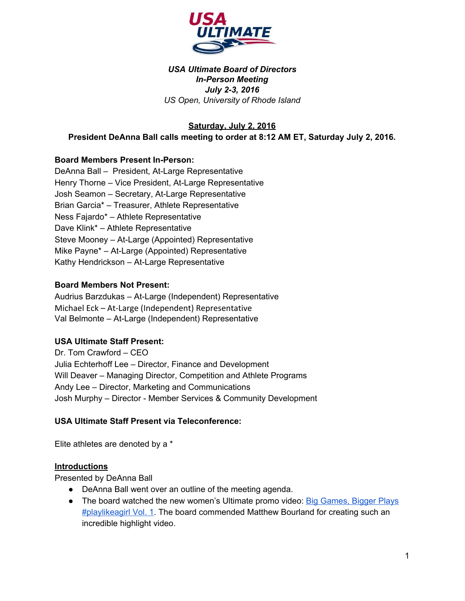

#### *USA Ultimate Board of Directors InPerson Meeting July 23, 2016 US Open, University of Rhode Island*

**Saturday, July 2, 2016 President DeAnna Ball calls meeting to order at 8:12 AM ET, Saturday July 2, 2016.**

# **Board Members Present In-Person:**

DeAnna Ball - President, At-Large Representative Henry Thorne – Vice President, At-Large Representative Josh Seamon – Secretary, At-Large Representative Brian Garcia\* – Treasurer, Athlete Representative Ness Fajardo\* – Athlete Representative Dave Klink\* – Athlete Representative Steve Mooney – At-Large (Appointed) Representative Mike Payne\* – At-Large (Appointed) Representative Kathy Hendrickson - At-Large Representative

#### **Board Members Not Present:**

Audrius Barzdukas - At-Large (Independent) Representative Michael Eck - At-Large (Independent) Representative Val Belmonte – At-Large (Independent) Representative

#### **USA Ultimate Staff Present:**

Dr. Tom Crawford – CEO Julia Echterhoff Lee – Director, Finance and Development Will Deaver – Managing Director, Competition and Athlete Programs Andy Lee – Director, Marketing and Communications Josh Murphy – Director - Member Services & Community Development

#### **USA Ultimate Staff Present via Teleconference:**

Elite athletes are denoted by a \*

#### **Introductions**

Presented by DeAnna Ball

- DeAnna Ball went over an outline of the meeting agenda.
- The board watched the new women's Ultimate promo video: Big [Games,](https://www.youtube.com/watch?v=nUhtaFnUb-o) Bigger Plays **[#playlikeagirl Vol.](https://www.youtube.com/watch?v=nUhtaFnUb-o) 1.** The board commended Matthew Bourland for creating such an incredible highlight video.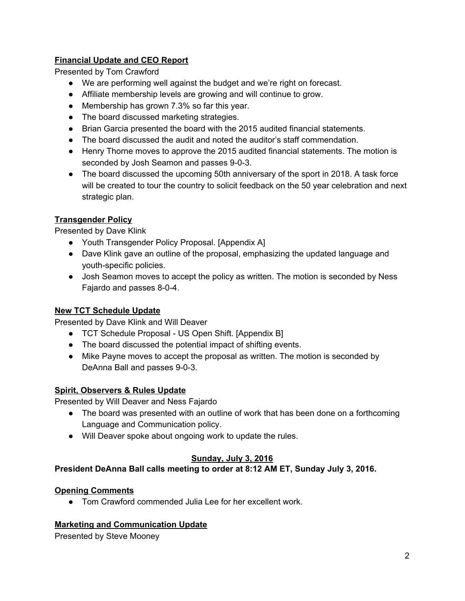# **Financial Update and CEO Report**

Presented by Tom Crawford

- We are performing well against the budget and we're right on forecast.
- Affiliate membership levels are growing and will continue to grow.
- Membership has grown 7.3% so far this year.
- The board discussed marketing strategies.
- Brian Garcia presented the board with the 2015 audited financial statements.
- The board discussed the audit and noted the auditor's staff commendation.
- Henry Thorne moves to approve the 2015 audited financial statements. The motion is seconded by Josh Seamon and passes 9-0-3.
- The board discussed the upcoming 50th anniversary of the sport in 2018. A task force will be created to tour the country to solicit feedback on the 50 year celebration and next strategic plan.

# **Transgender Policy**

Presented by Dave Klink

- Youth Transgender Policy Proposal. [Appendix A]
- Dave Klink gave an outline of the proposal, emphasizing the updated language and youth-specific policies.
- Josh Seamon moves to accept the policy as written. The motion is seconded by Ness Fajardo and passes 8-0-4.

# **New TCT Schedule Update**

Presented by Dave Klink and Will Deaver

- TCT Schedule Proposal US Open Shift. [Appendix B]
- The board discussed the potential impact of shifting events.
- Mike Payne moves to accept the proposal as written. The motion is seconded by DeAnna Ball and passes 9-0-3.

# **Spirit, Observers & Rules Update**

Presented by Will Deaver and Ness Fajardo

- The board was presented with an outline of work that has been done on a forthcoming Language and Communication policy.
- Will Deaver spoke about ongoing work to update the rules.

# **Sunday, July 3, 2016**

# **President DeAnna Ball calls meeting to order at 8:12 AM ET, Sunday July 3, 2016.**

# **Opening Comments**

● Tom Crawford commended Julia Lee for her excellent work.

# **Marketing and Communication Update**

Presented by Steve Mooney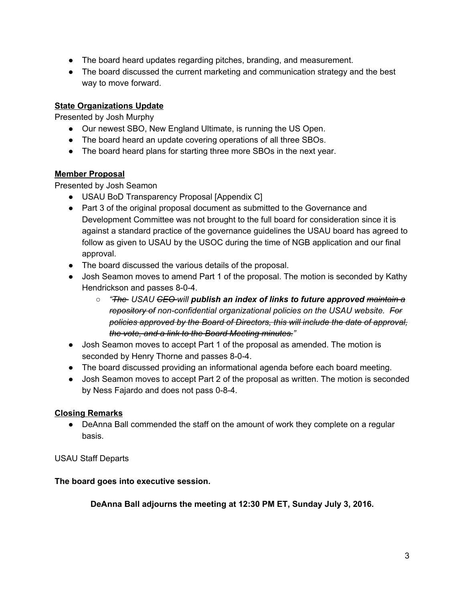- The board heard updates regarding pitches, branding, and measurement.
- The board discussed the current marketing and communication strategy and the best way to move forward.

# **State Organizations Update**

Presented by Josh Murphy

- Our newest SBO, New England Ultimate, is running the US Open.
- The board heard an update covering operations of all three SBOs.
- The board heard plans for starting three more SBOs in the next year.

# **Member Proposal**

Presented by Josh Seamon

- USAU BoD Transparency Proposal [Appendix C]
- Part 3 of the original proposal document as submitted to the Governance and Development Committee was not brought to the full board for consideration since it is against a standard practice of the governance guidelines the USAU board has agreed to follow as given to USAU by the USOC during the time of NGB application and our final approval.
- The board discussed the various details of the proposal.
- Josh Seamon moves to amend Part 1 of the proposal. The motion is seconded by Kathy Hendrickson and passes 8-0-4.
	- *○ "The USAU CEO will publish an index of links to future approved maintain a repository of nonconfidential organizational policies on the USAU website. For policies approved by the Board of Directors, this will include the date of approval, the vote, and a link to the Board Meeting minutes."*
- Josh Seamon moves to accept Part 1 of the proposal as amended. The motion is seconded by Henry Thorne and passes 8-0-4.
- The board discussed providing an informational agenda before each board meeting.
- Josh Seamon moves to accept Part 2 of the proposal as written. The motion is seconded by Ness Fajardo and does not pass 0-8-4.

# **Closing Remarks**

• DeAnna Ball commended the staff on the amount of work they complete on a regular basis.

# USAU Staff Departs

# **The board goes into executive session.**

**DeAnna Ball adjourns the meeting at 12:30 PM ET, Sunday July 3, 2016.**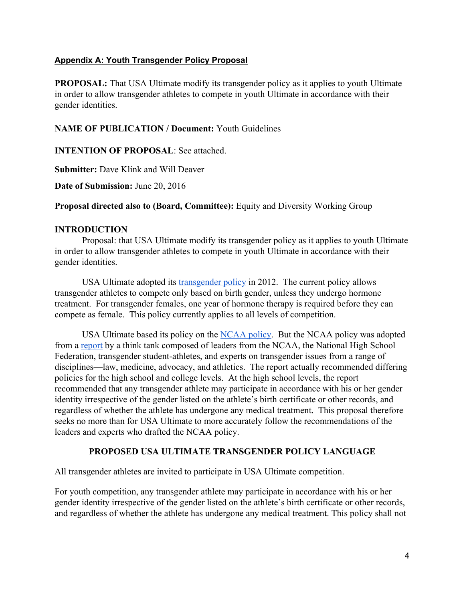### **Appendix A: Youth Transgender Policy Proposal**

**PROPOSAL:** That USA Ultimate modify its transgender policy as it applies to youth Ultimate in order to allow transgender athletes to compete in youth Ultimate in accordance with their gender identities.

### **NAME OF PUBLICATION / Document:** Youth Guidelines

**INTENTION OF PROPOSAL:** See attached.

**Submitter:** Dave Klink and Will Deaver

**Date of Submission:** June 20, 2016

**Proposal directed also to (Board, Committee):** Equity and Diversity Working Group

### **INTRODUCTION**

Proposal: that USA Ultimate modify its transgender policy as it applies to youth Ultimate in order to allow transgender athletes to compete in youth Ultimate in accordance with their gender identities.

USA Ultimate adopted its [transgender policy](http://www.usaultimate.org/assets/1/Page/USA%20Ultimate%20Inclusive%20Transgender%20Policy%20%28app%20ExComm%202.15.12%29.pdf) in 2012. The current policy allows transgender athletes to compete only based on birth gender, unless they undergo hormone treatment. For transgender females, one year of hormone therapy is required before they can compete as female. This policy currently applies to all levels of competition.

USA Ultimate based its policy on the [NCAA policy.](https://www.ncaa.org/sites/default/files/Transgender_Handbook_2011_Final.pdf) But the NCAA policy was adopted from a [report](http://www.nclrights.org/wp-content/uploads/2013/07/TransgenderStudentAthleteReport.pdf) by a think tank composed of leaders from the NCAA, the National High School Federation, transgender student-athletes, and experts on transgender issues from a range of disciplines—law, medicine, advocacy, and athletics. The report actually recommended differing policies for the high school and college levels. At the high school levels, the report recommended that any transgender athlete may participate in accordance with his or her gender identity irrespective of the gender listed on the athlete's birth certificate or other records, and regardless of whether the athlete has undergone any medical treatment. This proposal therefore seeks no more than for USA Ultimate to more accurately follow the recommendations of the leaders and experts who drafted the NCAA policy.

# **PROPOSED USA ULTIMATE TRANSGENDER POLICY LANGUAGE**

All transgender athletes are invited to participate in USA Ultimate competition.

For youth competition, any transgender athlete may participate in accordance with his or her gender identity irrespective of the gender listed on the athlete's birth certificate or other records, and regardless of whether the athlete has undergone any medical treatment. This policy shall not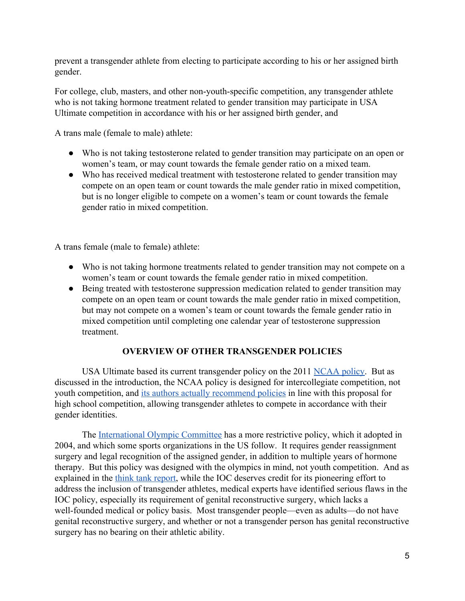prevent a transgender athlete from electing to participate according to his or her assigned birth gender.

For college, club, masters, and other non-youth-specific competition, any transgender athlete who is not taking hormone treatment related to gender transition may participate in USA Ultimate competition in accordance with his or her assigned birth gender, and

A trans male (female to male) athlete:

- Who is not taking testosterone related to gender transition may participate on an open or women's team, or may count towards the female gender ratio on a mixed team.
- Who has received medical treatment with testosterone related to gender transition may compete on an open team or count towards the male gender ratio in mixed competition, but is no longer eligible to compete on a women's team or count towards the female gender ratio in mixed competition.

A trans female (male to female) athlete:

- Who is not taking hormone treatments related to gender transition may not compete on a women's team or count towards the female gender ratio in mixed competition.
- Being treated with testosterone suppression medication related to gender transition may compete on an open team or count towards the male gender ratio in mixed competition, but may not compete on a women's team or count towards the female gender ratio in mixed competition until completing one calendar year of testosterone suppression treatment.

# **OVERVIEW OF OTHER TRANSGENDER POLICIES**

USA Ultimate based its current transgender policy on the 2011 [NCAA policy.](https://www.ncaa.org/sites/default/files/Transgender_Handbook_2011_Final.pdf) But as discussed in the introduction, the NCAA policy is designed for intercollegiate competition, not youth competition, and [its authors actually recommend policies](http://www.nclrights.org/wp-content/uploads/2013/07/TransgenderStudentAthleteReport.pdf) in line with this proposal for high school competition, allowing transgender athletes to compete in accordance with their gender identities.

The [International Olympic Committee](http://www.olympic.org/documents/reports/en/en_report_905.pdf) has a more restrictive policy, which it adopted in 2004, and which some sports organizations in the US follow. It requires gender reassignment surgery and legal recognition of the assigned gender, in addition to multiple years of hormone therapy. But this policy was designed with the olympics in mind, not youth competition. And as explained in the [think tank report,](http://www.nclrights.org/wp-content/uploads/2013/07/TransgenderStudentAthleteReport.pdf) while the IOC deserves credit for its pioneering effort to address the inclusion of transgender athletes, medical experts have identified serious flaws in the IOC policy, especially its requirement of genital reconstructive surgery, which lacks a well-founded medical or policy basis. Most transgender people—even as adults—do not have genital reconstructive surgery, and whether or not a transgender person has genital reconstructive surgery has no bearing on their athletic ability.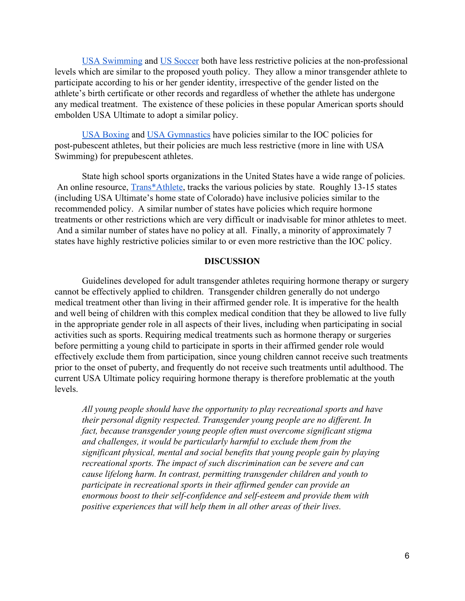[USA Swimming](http://media.wix.com/ugd/2bc3fc_2dd9480f771b45a48537f742e35a965c.pdf) and [US Soccer](http://media.wix.com/ugd/2bc3fc_d4601f281da449648ca4c60d0d81a526.pdf) both have less restrictive policies at the non-professional levels which are similar to the proposed youth policy. They allow a minor transgender athlete to participate according to his or her gender identity, irrespective of the gender listed on the athlete's birth certificate or other records and regardless of whether the athlete has undergone any medical treatment. The existence of these policies in these popular American sports should embolden USA Ultimate to adopt a similar policy.

[USA Boxing](http://media.wix.com/ugd/2bc3fc_097c27dfc6784e9eb89d7c5ab44dd399.pdf) and [USA Gymnastics](http://media.wix.com/ugd/2bc3fc_2a79ff51fb2f40a6ac0c1ad4a2493543.pdf) have policies similar to the IOC policies for post-pubescent athletes, but their policies are much less restrictive (more in line with USA Swimming) for prepubescent athletes.

State high school sports organizations in the United States have a wide range of policies. An online resource, [Trans\\*Athlete,](http://www.transathlete.com/#!k-12/c4w2) tracks the various policies by state. Roughly 13-15 states (including USA Ultimate's home state of Colorado) have inclusive policies similar to the recommended policy. A similar number of states have policies which require hormone treatments or other restrictions which are very difficult or inadvisable for minor athletes to meet. And a similar number of states have no policy at all. Finally, a minority of approximately 7 states have highly restrictive policies similar to or even more restrictive than the IOC policy.

#### **DISCUSSION**

Guidelines developed for adult transgender athletes requiring hormone therapy or surgery cannot be effectively applied to children. Transgender children generally do not undergo medical treatment other than living in their affirmed gender role. It is imperative for the health and well being of children with this complex medical condition that they be allowed to live fully in the appropriate gender role in all aspects of their lives, including when participating in social activities such as sports. Requiring medical treatments such as hormone therapy or surgeries before permitting a young child to participate in sports in their affirmed gender role would effectively exclude them from participation, since young children cannot receive such treatments prior to the onset of puberty, and frequently do not receive such treatments until adulthood. The current USA Ultimate policy requiring hormone therapy is therefore problematic at the youth levels.

*All young people should have the opportunity to play recreational sports and have their personal dignity respected. Transgender young people are no different. In fact, because transgender young people often must overcome significant stigma and challenges, it would be particularly harmful to exclude them from the significant physical, mental and social benefits that young people gain by playing recreational sports. The impact of such discrimination can be severe and can cause lifelong harm. In contrast, permitting transgender children and youth to participate in recreational sports in their affirmed gender can provide an* enormous boost to their self-confidence and self-esteem and provide them with *positive experiences that will help them in all other areas of their lives.*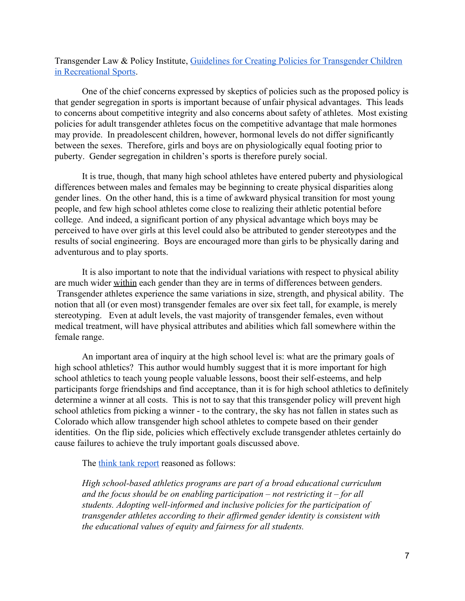Transgender Law & Policy Institute, [Guidelines for Creating Policies for Transgender Children](http://media.wix.com/ugd/2bc3fc_6cd03b8e19147c71c0153c81e96babcb.pdf) [in Recreational Sports.](http://media.wix.com/ugd/2bc3fc_6cd03b8e19147c71c0153c81e96babcb.pdf)

One of the chief concerns expressed by skeptics of policies such as the proposed policy is that gender segregation in sports is important because of unfair physical advantages. This leads to concerns about competitive integrity and also concerns about safety of athletes. Most existing policies for adult transgender athletes focus on the competitive advantage that male hormones may provide. In preadolescent children, however, hormonal levels do not differ significantly between the sexes. Therefore, girls and boys are on physiologically equal footing prior to puberty. Gender segregation in children's sports is therefore purely social.

It is true, though, that many high school athletes have entered puberty and physiological differences between males and females may be beginning to create physical disparities along gender lines. On the other hand, this is a time of awkward physical transition for most young people, and few high school athletes come close to realizing their athletic potential before college. And indeed, a significant portion of any physical advantage which boys may be perceived to have over girls at this level could also be attributed to gender stereotypes and the results of social engineering. Boys are encouraged more than girls to be physically daring and adventurous and to play sports.

It is also important to note that the individual variations with respect to physical ability are much wider within each gender than they are in terms of differences between genders. Transgender athletes experience the same variations in size, strength, and physical ability. The notion that all (or even most) transgender females are over six feet tall, for example, is merely stereotyping. Even at adult levels, the vast majority of transgender females, even without medical treatment, will have physical attributes and abilities which fall somewhere within the female range.

An important area of inquiry at the high school level is: what are the primary goals of high school athletics? This author would humbly suggest that it is more important for high school athletics to teach young people valuable lessons, boost their self-esteems, and help participants forge friendships and find acceptance, than it is for high school athletics to definitely determine a winner at all costs. This is not to say that this transgender policy will prevent high school athletics from picking a winner - to the contrary, the sky has not fallen in states such as Colorado which allow transgender high school athletes to compete based on their gender identities. On the flip side, policies which effectively exclude transgender athletes certainly do cause failures to achieve the truly important goals discussed above.

The [think tank report](http://www.nclrights.org/wp-content/uploads/2013/07/TransgenderStudentAthleteReport.pdf) reasoned as follows:

*High school-based athletics programs are part of a broad educational curriculum and the focus should be on enabling participation – not restricting it – for all* students. Adopting well-informed and inclusive policies for the participation of *transgender athletes according to their affirmed gender identity is consistent with the educational values of equity and fairness for all students.*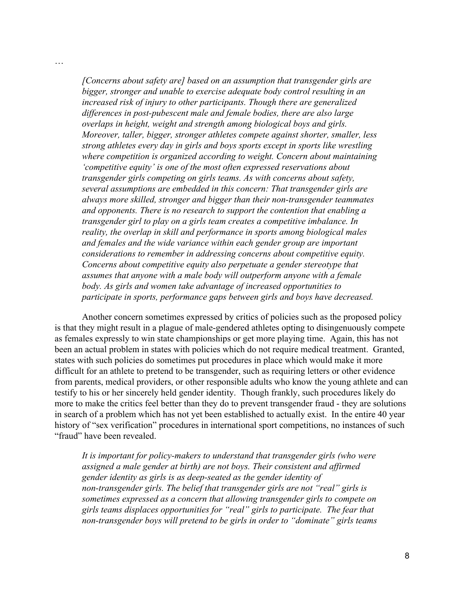*[Concerns about safety are] based on an assumption that transgender girls are bigger, stronger and unable to exercise adequate body control resulting in an increased risk of injury to other participants. Though there are generalized differences in post-pubescent male and female bodies, there are also large overlaps in height, weight and strength among biological boys and girls. Moreover, taller, bigger, stronger athletes compete against shorter, smaller, less strong athletes every day in girls and boys sports except in sports like wrestling where competition is organized according to weight. Concern about maintaining 'competitive equity' is one of the most often expressed reservations about transgender girls competing on girls teams. As with concerns about safety, several assumptions are embedded in this concern: That transgender girls are always more skilled, stronger and bigger than their nontransgender teammates and opponents. There is no research to support the contention that enabling a transgender girl to play on a girls team creates a competitive imbalance. In reality, the overlap in skill and performance in sports among biological males and females and the wide variance within each gender group are important considerations to remember in addressing concerns about competitive equity. Concerns about competitive equity also perpetuate a gender stereotype that assumes that anyone with a male body will outperform anyone with a female body. As girls and women take advantage of increased opportunities to participate in sports, performance gaps between girls and boys have decreased.*

…

Another concern sometimes expressed by critics of policies such as the proposed policy is that they might result in a plague of male-gendered athletes opting to disingenuously compete as females expressly to win state championships or get more playing time. Again, this has not been an actual problem in states with policies which do not require medical treatment. Granted, states with such policies do sometimes put procedures in place which would make it more difficult for an athlete to pretend to be transgender, such as requiring letters or other evidence from parents, medical providers, or other responsible adults who know the young athlete and can testify to his or her sincerely held gender identity. Though frankly, such procedures likely do more to make the critics feel better than they do to prevent transgender fraud - they are solutions in search of a problem which has not yet been established to actually exist. In the entire 40 year history of "sex verification" procedures in international sport competitions, no instances of such "fraud" have been revealed.

It is important for policy-makers to understand that transgender girls (who were *assigned a male gender at birth) are not boys. Their consistent and affirmed gender identity as girls is as deepseated as the gender identity of non-transgender girls. The belief that transgender girls are not "real" girls is sometimes expressed as a concern that allowing transgender girls to compete on girls teams displaces opportunities for "real" girls to participate. The fear that nontransgender boys will pretend to be girls in order to "dominate" girls teams*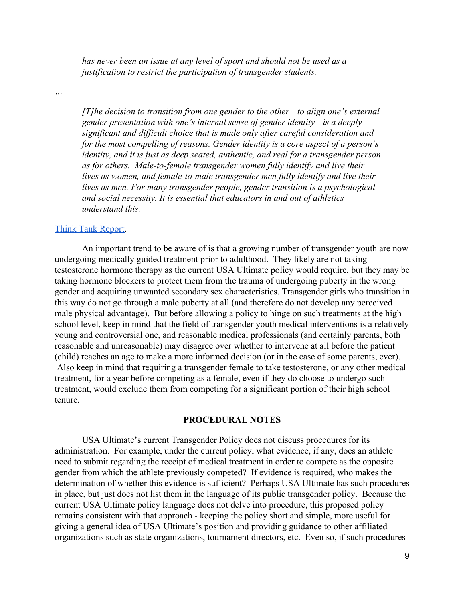*has never been an issue at any level of sport and should not be used as a justification to restrict the participation of transgender students.*

*…*

*[T]he decision to transition from one gender to the other—to align one's external gender presentation with one's internal sense of gender identity—is a deeply significant and difficult choice that is made only after careful consideration and for the most compelling of reasons. Gender identity is a core aspect of a person's identity, and it is just as deep seated, authentic, and real for a transgender person* as for others. Male-to-female transgender women fully identify and live their *lives as women, and female-to-male transgender men fully identify and live their lives as men. For many transgender people, gender transition is a psychological and social necessity. It is essential that educators in and out of athletics understand this.*

#### [Think Tank Report.](http://www.nclrights.org/wp-content/uploads/2013/07/TransgenderStudentAthleteReport.pdf)

An important trend to be aware of is that a growing number of transgender youth are now undergoing medically guided treatment prior to adulthood. They likely are not taking testosterone hormone therapy as the current USA Ultimate policy would require, but they may be taking hormone blockers to protect them from the trauma of undergoing puberty in the wrong gender and acquiring unwanted secondary sex characteristics. Transgender girls who transition in this way do not go through a male puberty at all (and therefore do not develop any perceived male physical advantage). But before allowing a policy to hinge on such treatments at the high school level, keep in mind that the field of transgender youth medical interventions is a relatively young and controversial one, and reasonable medical professionals (and certainly parents, both reasonable and unreasonable) may disagree over whether to intervene at all before the patient (child) reaches an age to make a more informed decision (or in the case of some parents, ever). Also keep in mind that requiring a transgender female to take testosterone, or any other medical treatment, for a year before competing as a female, even if they do choose to undergo such treatment, would exclude them from competing for a significant portion of their high school tenure.

#### **PROCEDURAL NOTES**

USA Ultimate's current Transgender Policy does not discuss procedures for its administration. For example, under the current policy, what evidence, if any, does an athlete need to submit regarding the receipt of medical treatment in order to compete as the opposite gender from which the athlete previously competed? If evidence is required, who makes the determination of whether this evidence is sufficient? Perhaps USA Ultimate has such procedures in place, but just does not list them in the language of its public transgender policy. Because the current USA Ultimate policy language does not delve into procedure, this proposed policy remains consistent with that approach keeping the policy short and simple, more useful for giving a general idea of USA Ultimate's position and providing guidance to other affiliated organizations such as state organizations, tournament directors, etc. Even so, if such procedures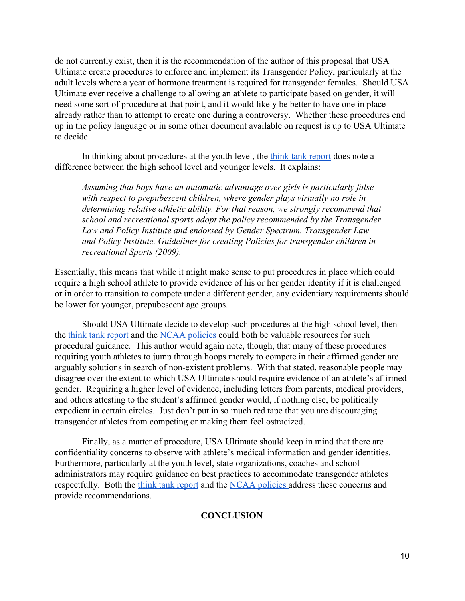do not currently exist, then it is the recommendation of the author of this proposal that USA Ultimate create procedures to enforce and implement its Transgender Policy, particularly at the adult levels where a year of hormone treatment is required for transgender females. Should USA Ultimate ever receive a challenge to allowing an athlete to participate based on gender, it will need some sort of procedure at that point, and it would likely be better to have one in place already rather than to attempt to create one during a controversy. Whether these procedures end up in the policy language or in some other document available on request is up to USA Ultimate to decide.

In thinking about procedures at the youth level, the [think tank report](http://www.nclrights.org/wp-content/uploads/2013/07/TransgenderStudentAthleteReport.pdf) does note a difference between the high school level and younger levels. It explains:

*Assuming that boys have an automatic advantage over girls is particularly false with respect to prepubescent children, where gender plays virtually no role in determining relative athletic ability. For that reason, we strongly recommend that school and recreational sports adopt the policy recommended by the Transgender Law and Policy Institute and endorsed by Gender Spectrum. Transgender Law and Policy Institute, Guidelines for creating Policies for transgender children in recreational Sports (2009).*

Essentially, this means that while it might make sense to put procedures in place which could require a high school athlete to provide evidence of his or her gender identity if it is challenged or in order to transition to compete under a different gender, any evidentiary requirements should be lower for younger, prepubescent age groups.

Should USA Ultimate decide to develop such procedures at the high school level, then the [think tank report](http://www.nclrights.org/wp-content/uploads/2013/07/TransgenderStudentAthleteReport.pdf) and the [NCAA policies c](https://www.ncaa.org/sites/default/files/Transgender_Handbook_2011_Final.pdf)ould both be valuable resources for such procedural guidance. This author would again note, though, that many of these procedures requiring youth athletes to jump through hoops merely to compete in their affirmed gender are arguably solutions in search of non-existent problems. With that stated, reasonable people may disagree over the extent to which USA Ultimate should require evidence of an athlete's affirmed gender. Requiring a higher level of evidence, including letters from parents, medical providers, and others attesting to the student's affirmed gender would, if nothing else, be politically expedient in certain circles. Just don't put in so much red tape that you are discouraging transgender athletes from competing or making them feel ostracized.

Finally, as a matter of procedure, USA Ultimate should keep in mind that there are confidentiality concerns to observe with athlete's medical information and gender identities. Furthermore, particularly at the youth level, state organizations, coaches and school administrators may require guidance on best practices to accommodate transgender athletes respectfully. Both the [think tank report](http://www.nclrights.org/wp-content/uploads/2013/07/TransgenderStudentAthleteReport.pdf) and the [NCAA policies a](https://www.ncaa.org/sites/default/files/Transgender_Handbook_2011_Final.pdf)ddress these concerns and provide recommendations.

#### **CONCLUSION**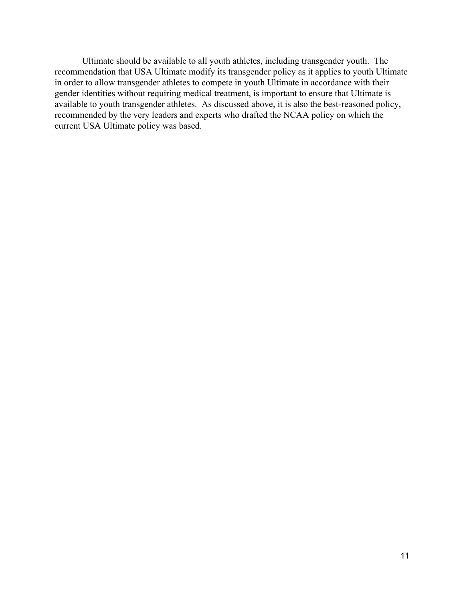Ultimate should be available to all youth athletes, including transgender youth. The recommendation that USA Ultimate modify its transgender policy as it applies to youth Ultimate in order to allow transgender athletes to compete in youth Ultimate in accordance with their gender identities without requiring medical treatment, is important to ensure that Ultimate is available to youth transgender athletes. As discussed above, it is also the best-reasoned policy, recommended by the very leaders and experts who drafted the NCAA policy on which the current USA Ultimate policy was based.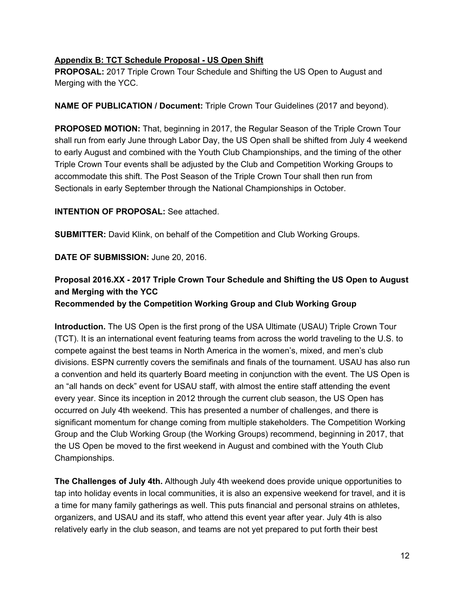# **Appendix B: TCT Schedule Proposal US Open Shift**

**PROPOSAL:** 2017 Triple Crown Tour Schedule and Shifting the US Open to August and Merging with the YCC.

**NAME OF PUBLICATION / Document:** Triple Crown Tour Guidelines (2017 and beyond).

**PROPOSED MOTION:** That, beginning in 2017, the Regular Season of the Triple Crown Tour shall run from early June through Labor Day, the US Open shall be shifted from July 4 weekend to early August and combined with the Youth Club Championships, and the timing of the other Triple Crown Tour events shall be adjusted by the Club and Competition Working Groups to accommodate this shift. The Post Season of the Triple Crown Tour shall then run from Sectionals in early September through the National Championships in October.

### **INTENTION OF PROPOSAL:** See attached.

**SUBMITTER:** David Klink, on behalf of the Competition and Club Working Groups.

**DATE OF SUBMISSION:** June 20, 2016.

# **Proposal 2016.XX 2017 Triple Crown Tour Schedule and Shifting the US Open to August and Merging with the YCC**

**Recommended by the Competition Working Group and Club Working Group**

**Introduction.** The US Open is the first prong of the USA Ultimate (USAU) Triple Crown Tour (TCT). It is an international event featuring teams from across the world traveling to the U.S. to compete against the best teams in North America in the women's, mixed, and men's club divisions. ESPN currently covers the semifinals and finals of the tournament. USAU has also run a convention and held its quarterly Board meeting in conjunction with the event. The US Open is an "all hands on deck" event for USAU staff, with almost the entire staff attending the event every year. Since its inception in 2012 through the current club season, the US Open has occurred on July 4th weekend. This has presented a number of challenges, and there is significant momentum for change coming from multiple stakeholders. The Competition Working Group and the Club Working Group (the Working Groups) recommend, beginning in 2017, that the US Open be moved to the first weekend in August and combined with the Youth Club Championships.

**The Challenges of July 4th.** Although July 4th weekend does provide unique opportunities to tap into holiday events in local communities, it is also an expensive weekend for travel, and it is a time for many family gatherings as well. This puts financial and personal strains on athletes, organizers, and USAU and its staff, who attend this event year after year. July 4th is also relatively early in the club season, and teams are not yet prepared to put forth their best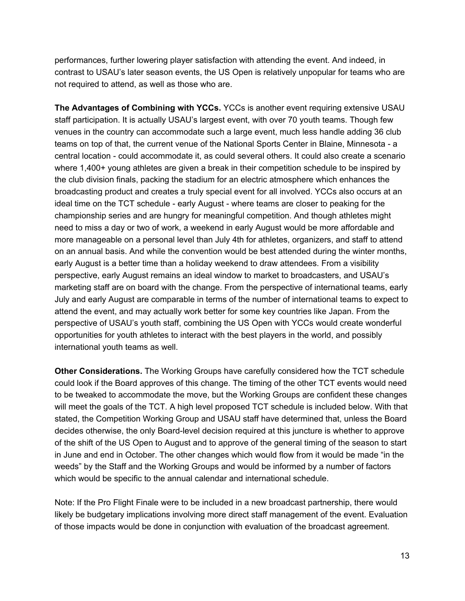performances, further lowering player satisfaction with attending the event. And indeed, in contrast to USAU's later season events, the US Open is relatively unpopular for teams who are not required to attend, as well as those who are.

**The Advantages of Combining with YCCs.** YCCs is another event requiring extensive USAU staff participation. It is actually USAU's largest event, with over 70 youth teams. Though few venues in the country can accommodate such a large event, much less handle adding 36 club teams on top of that, the current venue of the National Sports Center in Blaine, Minnesota - a central location could accommodate it, as could several others. It could also create a scenario where 1,400+ young athletes are given a break in their competition schedule to be inspired by the club division finals, packing the stadium for an electric atmosphere which enhances the broadcasting product and creates a truly special event for all involved. YCCs also occurs at an ideal time on the TCT schedule - early August - where teams are closer to peaking for the championship series and are hungry for meaningful competition. And though athletes might need to miss a day or two of work, a weekend in early August would be more affordable and more manageable on a personal level than July 4th for athletes, organizers, and staff to attend on an annual basis. And while the convention would be best attended during the winter months, early August is a better time than a holiday weekend to draw attendees. From a visibility perspective, early August remains an ideal window to market to broadcasters, and USAU's marketing staff are on board with the change. From the perspective of international teams, early July and early August are comparable in terms of the number of international teams to expect to attend the event, and may actually work better for some key countries like Japan. From the perspective of USAU's youth staff, combining the US Open with YCCs would create wonderful opportunities for youth athletes to interact with the best players in the world, and possibly international youth teams as well.

**Other Considerations.** The Working Groups have carefully considered how the TCT schedule could look if the Board approves of this change. The timing of the other TCT events would need to be tweaked to accommodate the move, but the Working Groups are confident these changes will meet the goals of the TCT. A high level proposed TCT schedule is included below. With that stated, the Competition Working Group and USAU staff have determined that, unless the Board decides otherwise, the only Board-level decision required at this juncture is whether to approve of the shift of the US Open to August and to approve of the general timing of the season to start in June and end in October. The other changes which would flow from it would be made "in the weeds" by the Staff and the Working Groups and would be informed by a number of factors which would be specific to the annual calendar and international schedule.

Note: If the Pro Flight Finale were to be included in a new broadcast partnership, there would likely be budgetary implications involving more direct staff management of the event. Evaluation of those impacts would be done in conjunction with evaluation of the broadcast agreement.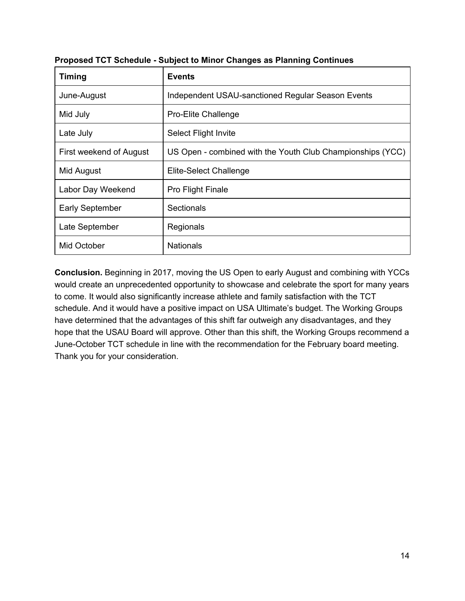| <b>Timing</b>           | <b>Events</b>                                              |
|-------------------------|------------------------------------------------------------|
| June-August             | Independent USAU-sanctioned Regular Season Events          |
| Mid July                | <b>Pro-Elite Challenge</b>                                 |
| Late July               | <b>Select Flight Invite</b>                                |
| First weekend of August | US Open - combined with the Youth Club Championships (YCC) |
| Mid August              | Elite-Select Challenge                                     |
| Labor Day Weekend       | <b>Pro Flight Finale</b>                                   |
| <b>Early September</b>  | Sectionals                                                 |
| Late September          | Regionals                                                  |
| Mid October             | <b>Nationals</b>                                           |

**Proposed TCT Schedule Subject to Minor Changes as Planning Continues**

**Conclusion.** Beginning in 2017, moving the US Open to early August and combining with YCCs would create an unprecedented opportunity to showcase and celebrate the sport for many years to come. It would also significantly increase athlete and family satisfaction with the TCT schedule. And it would have a positive impact on USA Ultimate's budget. The Working Groups have determined that the advantages of this shift far outweigh any disadvantages, and they hope that the USAU Board will approve. Other than this shift, the Working Groups recommend a June-October TCT schedule in line with the recommendation for the February board meeting. Thank you for your consideration.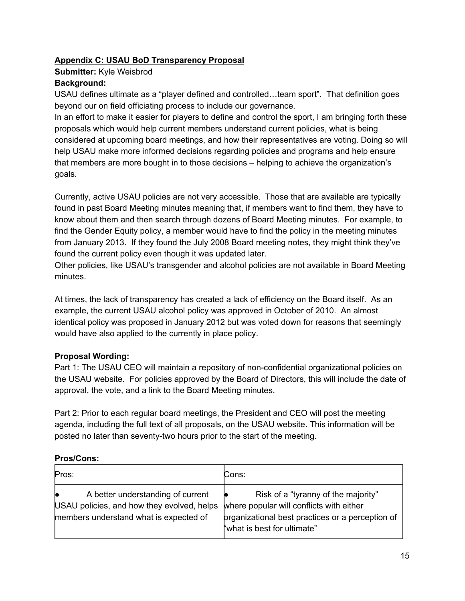# **Appendix C: USAU BoD Transparency Proposal**

**Submitter:** Kyle Weisbrod

# **Background:**

USAU defines ultimate as a "player defined and controlled…team sport". That definition goes beyond our on field officiating process to include our governance.

In an effort to make it easier for players to define and control the sport, I am bringing forth these proposals which would help current members understand current policies, what is being considered at upcoming board meetings, and how their representatives are voting. Doing so will help USAU make more informed decisions regarding policies and programs and help ensure that members are more bought in to those decisions – helping to achieve the organization's goals.

Currently, active USAU policies are not very accessible. Those that are available are typically found in past Board Meeting minutes meaning that, if members want to find them, they have to know about them and then search through dozens of Board Meeting minutes. For example, to find the Gender Equity policy, a member would have to find the policy in the meeting minutes from January 2013. If they found the July 2008 Board meeting notes, they might think they've found the current policy even though it was updated later.

Other policies, like USAU's transgender and alcohol policies are not available in Board Meeting minutes.

At times, the lack of transparency has created a lack of efficiency on the Board itself. As an example, the current USAU alcohol policy was approved in October of 2010. An almost identical policy was proposed in January 2012 but was voted down for reasons that seemingly would have also applied to the currently in place policy.

# **Proposal Wording:**

Part 1: The USAU CEO will maintain a repository of non-confidential organizational policies on the USAU website. For policies approved by the Board of Directors, this will include the date of approval, the vote, and a link to the Board Meeting minutes.

Part 2: Prior to each regular board meetings, the President and CEO will post the meeting agenda, including the full text of all proposals, on the USAU website. This information will be posted no later than seventy-two hours prior to the start of the meeting.

# **Pros/Cons:**

| Pros:                                                                                                                     | Cons:                                                                                                                                                              |
|---------------------------------------------------------------------------------------------------------------------------|--------------------------------------------------------------------------------------------------------------------------------------------------------------------|
| A better understanding of current<br>USAU policies, and how they evolved, helps<br>members understand what is expected of | Risk of a "tyranny of the majority"<br>where popular will conflicts with either<br>prganizational best practices or a perception of<br>"what is best for ultimate" |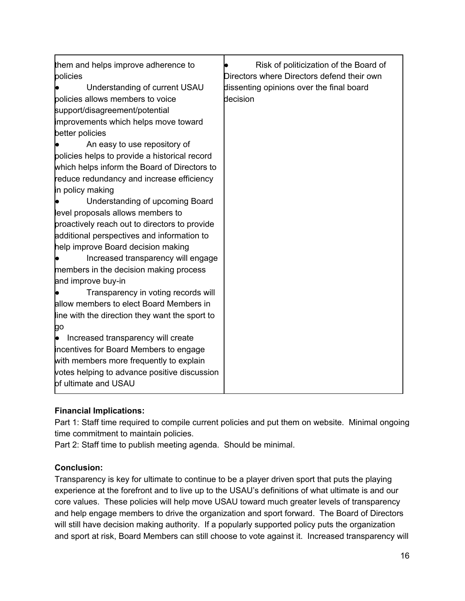| them and helps improve adherence to<br>policies<br>Understanding of current USAU<br>policies allows members to voice<br>support/disagreement/potential<br>improvements which helps move toward<br>better policies<br>An easy to use repository of<br>policies helps to provide a historical record<br>which helps inform the Board of Directors to<br>reduce redundancy and increase efficiency<br>in policy making<br>Understanding of upcoming Board<br>level proposals allows members to<br>proactively reach out to directors to provide<br>additional perspectives and information to<br>help improve Board decision making<br>Increased transparency will engage<br>members in the decision making process<br>and improve buy-in<br>Transparency in voting records will<br>allow members to elect Board Members in<br>line with the direction they want the sport to<br>go<br>Increased transparency will create<br>incentives for Board Members to engage<br>with members more frequently to explain | Risk of politicization of the Board of<br>Directors where Directors defend their own<br>dissenting opinions over the final board<br>decision |
|-------------------------------------------------------------------------------------------------------------------------------------------------------------------------------------------------------------------------------------------------------------------------------------------------------------------------------------------------------------------------------------------------------------------------------------------------------------------------------------------------------------------------------------------------------------------------------------------------------------------------------------------------------------------------------------------------------------------------------------------------------------------------------------------------------------------------------------------------------------------------------------------------------------------------------------------------------------------------------------------------------------|----------------------------------------------------------------------------------------------------------------------------------------------|
| votes helping to advance positive discussion<br>of ultimate and USAU                                                                                                                                                                                                                                                                                                                                                                                                                                                                                                                                                                                                                                                                                                                                                                                                                                                                                                                                        |                                                                                                                                              |

# **Financial Implications:**

Part 1: Staff time required to compile current policies and put them on website. Minimal ongoing time commitment to maintain policies.

Part 2: Staff time to publish meeting agenda. Should be minimal.

# **Conclusion:**

Transparency is key for ultimate to continue to be a player driven sport that puts the playing experience at the forefront and to live up to the USAU's definitions of what ultimate is and our core values. These policies will help move USAU toward much greater levels of transparency and help engage members to drive the organization and sport forward. The Board of Directors will still have decision making authority. If a popularly supported policy puts the organization and sport at risk, Board Members can still choose to vote against it. Increased transparency will